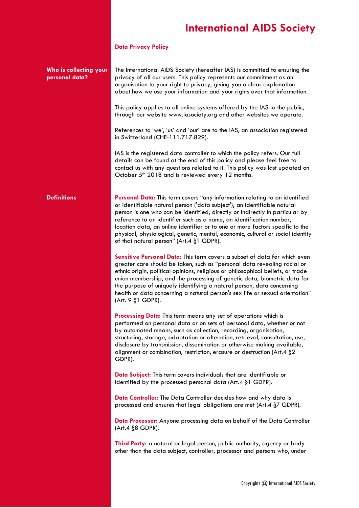#### **Data Privacy Policy**

**Who is collecting your**  The International AIDS Society (hereafter IAS) is committed to ensuring the privacy of all our users. This policy represents our commitment as an organisation to your right to privacy, giving you a clear explanation about how we use your information and your rights over that information.

> This policy applies to all online systems offered by the IAS to the public, through our website www.iasociety.org and other websites we operate.

References to 'we', 'us' and 'our' are to the IAS, an association registered in Switzerland (CHE-111.717.829).

IAS is the registered data controller to which the policy refers. Our full details can be found at the end of this policy and please feel free to contact us with any questions related to it. This policy was last updated on October 5<sup>th</sup> 2018 and is reviewed every 12 months.

**personal data?**

**Definitions Personal Data:** This term covers "any information relating to an identified or identifiable natural person ('data subject'); an identifiable natural person is one who can be identified, directly or indirectly in particular by reference to an identifier such as a name, an identification number, location data, an online identifier or to one or more factors specific to the physical, physiological, genetic, mental, economic, cultural or social identity of that natural person" (Art.4 §1 GDPR).

> **Sensitive Personal Data:** This term covers a subset of data for which even greater care should be taken, such as "personal data revealing racial or ethnic origin, political opinions, religious or philosophical beliefs, or trade union membership, and the processing of genetic data, biometric data for the purpose of uniquely identifying a natural person, data concerning health or data concerning a natural person's sex life or sexual orientation" (Art. 9 §1 GDPR).

**Processing Data:** This term means any set of operations which is performed on personal data or on sets of personal data, whether or not by automated means, such as collection, recording, organisation, structuring, storage, adaptation or alteration, retrieval, consultation, use, disclosure by transmission, dissemination or otherwise making available, alignment or combination, restriction, erasure or destruction (Art.4 §2 GDPR).

**Data Subject:** This term covers individuals that are identifiable or identified by the processed personal data (Art.4 §1 GDPR).

**Data Controller:** The Data Controller decides how and why data is processed and ensures that legal obligations are met (Art.4 §7 GDPR).

**Data Processor:** Anyone processing data on behalf of the Data Controller (Art.4 §8 GDPR).

**Third Party:** a natural or legal person, public authority, agency or body other than the data subject, controller, processor and persons who, under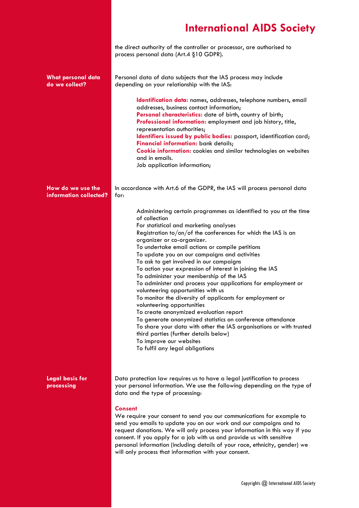the direct authority of the controller or processor, are authorised to process personal data (Art.4 §10 GDPR).

| What personal data<br>do we collect?        | Personal data of data subjects that the IAS process may include<br>depending on your relationship with the IAS:                                                                                                                                                                                                                                                                                                                                                                                                                                                                                                                                                                                                                                                                                                                                                                                                                                                           |
|---------------------------------------------|---------------------------------------------------------------------------------------------------------------------------------------------------------------------------------------------------------------------------------------------------------------------------------------------------------------------------------------------------------------------------------------------------------------------------------------------------------------------------------------------------------------------------------------------------------------------------------------------------------------------------------------------------------------------------------------------------------------------------------------------------------------------------------------------------------------------------------------------------------------------------------------------------------------------------------------------------------------------------|
|                                             | Identification data: names, addresses, telephone numbers, email<br>addresses, business contact information;<br>Personal characteristics: date of birth, country of birth;<br>Professional information: employment and job history, title,<br>representation authorities;<br>Identifiers issued by public bodies: passport, identification card;<br>Financial information: bank details;<br><b>Cookie information:</b> cookies and similar technologies on websites<br>and in emails.<br>Job application information;                                                                                                                                                                                                                                                                                                                                                                                                                                                      |
| How do we use the<br>information collected? | In accordance with Art.6 of the GDPR, the IAS will process personal data<br>for:                                                                                                                                                                                                                                                                                                                                                                                                                                                                                                                                                                                                                                                                                                                                                                                                                                                                                          |
|                                             | Administering certain programmes as identified to you at the time<br>of collection<br>For statistical and marketing analyses<br>Registration to/on/of the conferences for which the IAS is an<br>organizer or co-organizer.<br>To undertake email actions or compile petitions<br>To update you on our campaigns and activities<br>To ask to get involved in our campaigns<br>To action your expression of interest in joining the IAS<br>To administer your membership of the IAS<br>To administer and process your applications for employment or<br>volunteering opportunities with us<br>To monitor the diversity of applicants for employment or<br>volunteering opportunities<br>To create anonymized evaluation report<br>To generate anonymized statistics on conference attendance<br>To share your data with other the IAS organisations or with trusted<br>third parties (further details below)<br>To improve our websites<br>To fulfil any legal obligations |
| <b>Legal basis for</b><br>processing        | Data protection law requires us to have a legal justification to process<br>your personal information. We use the following depending on the type of<br>data and the type of processing:                                                                                                                                                                                                                                                                                                                                                                                                                                                                                                                                                                                                                                                                                                                                                                                  |
|                                             | <b>Consent</b><br>We require your consent to send you our communications for example to<br>send you emails to update you on our work and our campaigns and to<br>request donations. We will only process your information in this way if you<br>consent. If you apply for a job with us and provide us with sensitive<br>personal information (including details of your race, ethnicity, gender) we<br>will only process that information with your consent.                                                                                                                                                                                                                                                                                                                                                                                                                                                                                                             |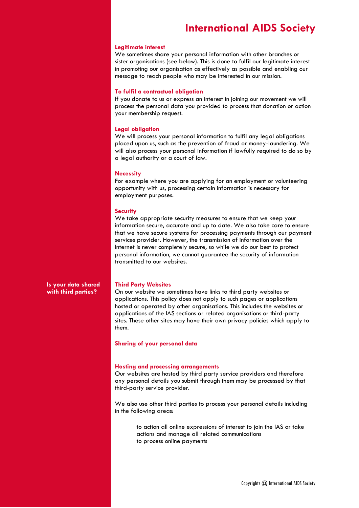#### **Legitimate interest**

We sometimes share your personal information with other branches or sister organisations (see below). This is done to fulfil our legitimate interest in promoting our organisation as effectively as possible and enabling our message to reach people who may be interested in our mission.

#### **To fulfil a contractual obligation**

If you donate to us or express an interest in joining our movement we will process the personal data you provided to process that donation or action your membership request.

#### **Legal obligation**

We will process your personal information to fulfil any legal obligations placed upon us, such as the prevention of fraud or money-laundering. We will also process your personal information if lawfully required to do so by a legal authority or a court of law.

#### **Necessity**

For example where you are applying for an employment or volunteering opportunity with us, processing certain information is necessary for employment purposes.

#### **Security**

We take appropriate security measures to ensure that we keep your information secure, accurate and up to date. We also take care to ensure that we have secure systems for processing payments through our payment services provider. However, the transmission of information over the Internet is never completely secure, so while we do our best to protect personal information, we cannot guarantee the security of information transmitted to our websites.

**Is your data shared with third parties?**

#### **Third Party Websites**

On our website we sometimes have links to third party websites or applications. This policy does not apply to such pages or applications hosted or operated by other organisations. This includes the websites or applications of the IAS sections or related organisations or third-party sites. These other sites may have their own privacy policies which apply to them.

#### **Sharing of your personal data**

#### **Hosting and processing arrangements**

Our websites are hosted by third party service providers and therefore any personal details you submit through them may be processed by that third-party service provider.

We also use other third parties to process your personal details including in the following areas:

> to action all online expressions of interest to join the IAS or take actions and manage all related communications to process online payments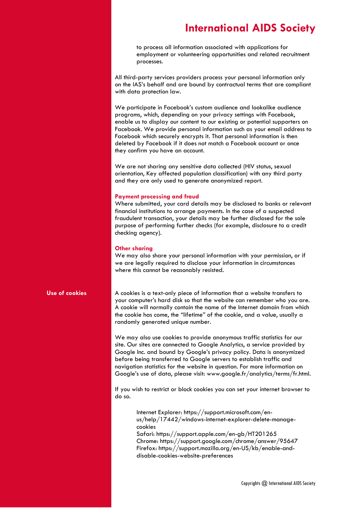to process all information associated with applications for employment or volunteering opportunities and related recruitment processes.

All third-party services providers process your personal information only on the IAS's behalf and are bound by contractual terms that are compliant with data protection law.

We participate in Facebook's custom audience and lookalike audience programs, which, depending on your privacy settings with Facebook, enable us to display our content to our existing or potential supporters on Facebook. We provide personal information such as your email address to Facebook which securely encrypts it. That personal information is then deleted by Facebook if it does not match a Facebook account or once they confirm you have an account.

We are not sharing any sensitive data collected (HIV status, sexual orientation, Key affected population classification) with any third party and they are only used to generate anonymized report.

#### **Payment processing and fraud**

Where submitted, your card details may be disclosed to banks or relevant financial institutions to arrange payments. In the case of a suspected fraudulent transaction, your details may be further disclosed for the sole purpose of performing further checks (for example, disclosure to a credit checking agency).

#### **Other sharing**

We may also share your personal information with your permission, or if we are legally required to disclose your information in circumstances where this cannot be reasonably resisted.

**Use of cookies** A cookies is a text-only piece of information that a website transfers to your computer's hard disk so that the website can remember who you are. A cookie will normally contain the name of the Internet domain from which the cookie has come, the "lifetime" of the cookie, and a value, usually a randomly generated unique number.

> We may also use cookies to provide anonymous traffic statistics for our site. Our sites are connected to Google Analytics, a service provided by Google Inc. and bound by Google's privacy policy. Data is anonymized before being transferred to Google servers to establish traffic and navigation statistics for the website in question. For more information on Google's use of data, please visit: www.google.fr/analytics/terms/fr.html.

> If you wish to restrict or block cookies you can set your internet browser to do so.

> > Internet Explorer: https://support.microsoft.com/enus/help/17442/windows-internet-explorer-delete-managecookies Safari: https://support.apple.com/en-gb/HT201265 Chrome: https://support.google.com/chrome/answer/95647 Firefox: https://support.mozilla.org/en-US/kb/enable-anddisable-cookies-website-preferences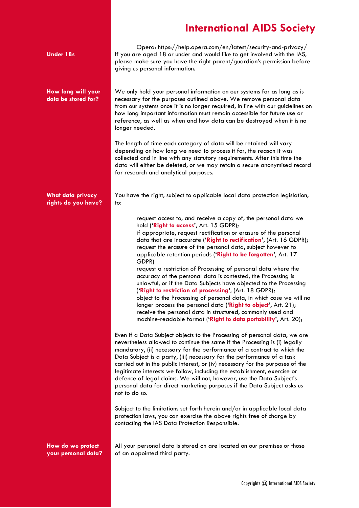| <b>Under 18s</b>                                | Opera: https://help.opera.com/en/latest/security-and-privacy/<br>If you are aged 18 or under and would like to get involved with the IAS,<br>please make sure you have the right parent/guardian's permission before<br>giving us personal information.                                                                                                                                                                                                                                                                                                                                                                                                                                                                                                                                                                                                                                                                                     |
|-------------------------------------------------|---------------------------------------------------------------------------------------------------------------------------------------------------------------------------------------------------------------------------------------------------------------------------------------------------------------------------------------------------------------------------------------------------------------------------------------------------------------------------------------------------------------------------------------------------------------------------------------------------------------------------------------------------------------------------------------------------------------------------------------------------------------------------------------------------------------------------------------------------------------------------------------------------------------------------------------------|
| How long will your<br>data be stored for?       | We only hold your personal information on our systems for as long as is<br>necessary for the purposes outlined above. We remove personal data<br>from our systems once it is no longer required, in line with our guidelines on<br>how long important information must remain accessible for future use or<br>reference, as well as when and how data can be destroyed when it is no<br>longer needed.                                                                                                                                                                                                                                                                                                                                                                                                                                                                                                                                      |
|                                                 | The length of time each category of data will be retained will vary<br>depending on how long we need to process it for, the reason it was<br>collected and in line with any statutory requirements. After this time the<br>data will either be deleted, or we may retain a secure anonymised record<br>for research and analytical purposes.                                                                                                                                                                                                                                                                                                                                                                                                                                                                                                                                                                                                |
| <b>What data privacy</b><br>rights do you have? | You have the right, subject to applicable local data protection legislation,<br>to:                                                                                                                                                                                                                                                                                                                                                                                                                                                                                                                                                                                                                                                                                                                                                                                                                                                         |
|                                                 | request access to, and receive a copy of, the personal data we<br>hold ('Right to access', Art. 15 GDPR);<br>if appropriate, request rectification or erasure of the personal<br>data that are inaccurate ('Right to rectification', (Art. 16 GDPR);<br>request the erasure of the personal data, subject however to<br>applicable retention periods ('Right to be forgotten', Art. 17<br>GDPR)<br>request a restriction of Processing of personal data where the<br>accuracy of the personal data is contested, the Processing is<br>unlawful, or if the Data Subjects have objected to the Processing<br>('Right to restriction of processing', (Art. 18 GDPR);<br>object to the Processing of personal data, in which case we will no<br>longer process the personal data ('Right to object', Art. 21);<br>receive the personal data in structured, commonly used and<br>machine-readable format ('Right to data portability', Art. 20); |
|                                                 | Even if a Data Subject objects to the Processing of personal data, we are<br>nevertheless allowed to continue the same if the Processing is (i) legally<br>mandatory, (ii) necessary for the performance of a contract to which the<br>Data Subject is a party, (iii) necessary for the performance of a task<br>carried out in the public interest, or (iv) necessary for the purposes of the<br>legitimate interests we follow, including the establishment, exercise or<br>defence of legal claims. We will not, however, use the Data Subject's<br>personal data for direct marketing purposes if the Data Subject asks us<br>not to do so.                                                                                                                                                                                                                                                                                             |
|                                                 | Subject to the limitations set forth herein and/or in applicable local data<br>protection laws, you can exercise the above rights free of charge by<br>contacting the IAS Data Protection Responsible.                                                                                                                                                                                                                                                                                                                                                                                                                                                                                                                                                                                                                                                                                                                                      |
| How do we protect<br>your personal data?        | All your personal data is stored on are located on our premises or those<br>of an appointed third party.                                                                                                                                                                                                                                                                                                                                                                                                                                                                                                                                                                                                                                                                                                                                                                                                                                    |